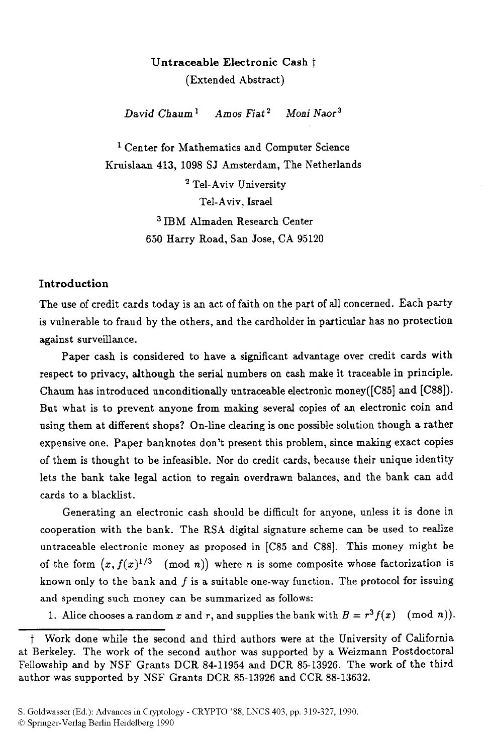# Untraceable Electronic Cash t (Extended Abstract)

David Chaum<sup>1</sup> Amos Fiat<sup>2</sup> Moni Naor<sup>3</sup>

<sup>1</sup> Center for Mathematics and Computer Science Kruislaan **413, 1098** SJ Amsterdam, The Netherlands <sup>2</sup> Tel-Aviv University Tel-Aviv, Israel <sup>3</sup> IBM Almaden Research Center **650 Harry** Road, **San** Jose, CA **95120** 

# Introduction

The use of credit cards today is **an** act of faith on the pat of **all** concerned. Each party is vulnerable to fraud by the others, and the cardholder in particular has no protection against surveillance.

Paper cash is considered to have a significant advantage over credit cards with respect to privacy, although the serial numbers on cash make it traceable in principle. Chaum has introduced unconditionally untraceable electronic money( [C85] and **[C88]).**  But what is to prevent anyone from **making** several copies of an electronic coin and using them at different shops? On-line clearing **is** one possible solution though a rather expensive one. Paper banknotes don't present this problem, since making exact copies of them is thought to be infeasible. Nor do credit cards, because their unique identity lets the bank take legal action to regain overdrawn balances, and the bank can add cards to a blacklist.

Generating an electronic cash should be difficult for anyone, unless it is done in cooperation with the bank. The RSA digital signature scheme can be used to realize untraceable electronic money **as** proposed in [C85 and C88]. This money might be of the form  $(x, f(x)^{1/3} \pmod{n}$  where *n* is some composite whose factorization is known only to the bank and *f* is **a** suitable one-way function. The protocol for issuing and spending such money can be summarized **as** follows:

**1.** Alice chooses a random x and r, and supplies the bank with  $B = r^3 f(x) \pmod{n}$ .

*0* Springer-Verlag Berlin Heidelberg 1990

t Work done while the second and third authors **were** at the University of California at Berkeley. The work of the second author was supported by a Weizmann Postdoctoral Fellowship and by **NSF** Grants DCR **84-11954** and DCR **85-13926.** The work of the third author was supported by NSF Grants DCR **85-13926** and CCR **88-13632.**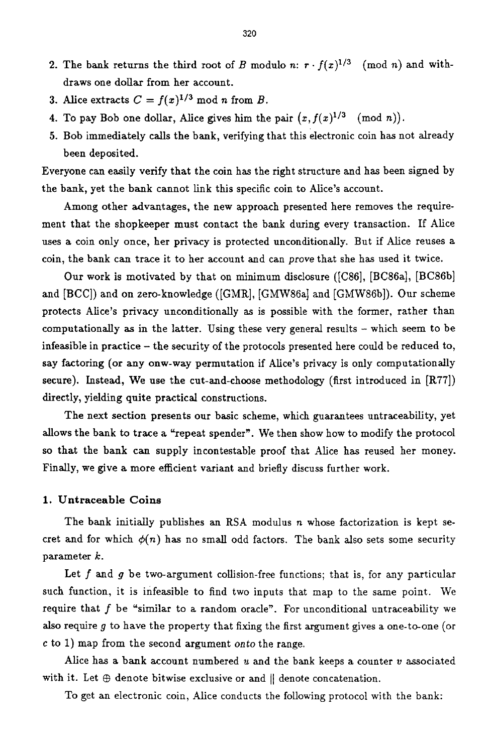- 2. The bank returns the third root of *B* modulo *n*:  $\mathbf{r} \cdot f(x)^{1/3}$  (mod *n*) and withdraws one dollar from her account.
- 3. Alice extracts  $C = f(x)^{1/3} \text{ mod } n$  from *B*.
- **4.** To pay Bob one dollar, Alice gives him the pair  $(x, f(x)^{1/3} \pmod{n}$ .
- *5.* Bob immediately *calls* the bank, verifying that this electronic coin has not already been deposited.

Everyone can easily verify that the coin has the right structure and has been signed by the bank, yet the bank cannot link this specific coin to Alice's account.

Among other advantages, the new approach presented here removes the requirement that the shopkeeper must contact the bank during every transaction. If Alice uses a coin only once, her privacy is protected unconditionally. But if Alice reuses a coin, the bank can trace it to her account and can prove that she has used it twice.

Our work is motivated by that on minimum disclosure ([CSS], [BCSSa], [BC86b] and [BCC]) and **on** zero-knowledge ([GMR], [GMWSSa] and [GMW86b]). Our scheme protects Alice's privacy unconditionally **as** is possible with the former, rather than computationally **as** in the latter. Using these very general results - which seem to be infeasible in practice - the security of the protocols presented here could be reduced to, say factoring (or any onw-way permutation if Alice's privacy is only computationally secure). Instead, We use the cut-and-choose methodology (first introduced in [R77]) directly, yielding quite practical constructions.

The next section presents our basic scheme, which guarantees untraceability, yet allows the bank to trace a "repeat spender". We then show how to modify the protocol so that the bank can supply incontestable proof that Alice has reused her money. Finally, we give a more efficient variant and briefly discuss further work.

### **1. Untraceable Coins**

The bank initially publishes **an** RSA modulus n whose factorization is kept secret and for which  $\phi(n)$  has no small odd factors. The bank also sets some security parameter *k.* 

Let f and **g** be two-argument collision-free functions; that is, for any particular such function, it is infeasible to find two inputs that map to the same point. We require that f be "similar to a random oracle". For unconditional untraceability we also require **g** to have the property that fixing the first argument gives a one-to-one (or **<sup>c</sup>**to 1) map from the second argument *onto* the range.

Alice has a bank account numbered  $u$  and the bank keeps a counter  $v$  associated with it. Let  $\oplus$  denote bitwise exclusive or and  $\parallel$  denote concatenation.

To get an electronic coin, Alice conducts the following protocol with the bank: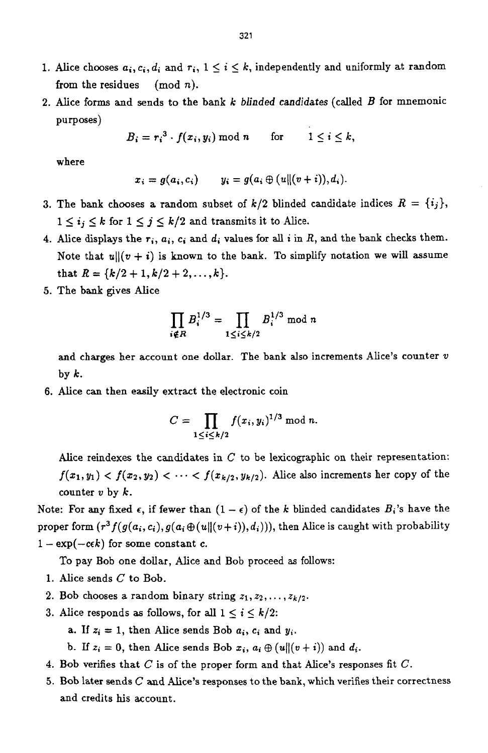- 1. Alice chooses  $a_i, c_i, d_i$  and  $r_i, 1 \leq i \leq k$ , independently and uniformly at random **from** the residues **(mod** *n).*
- *2.*  Alice **forms** and sends to the bank *k* **blinded candidates** (called *B* for mnemonic purposes)

$$
B_i = r_i^3 \cdot f(x_i, y_i) \bmod n \quad \text{for} \quad 1 \leq i \leq k,
$$

where

$$
x_i = g(a_i, c_i) \qquad y_i = g(a_i \oplus (u \Vert (v + i)), d_i).
$$

- **3.** The bank chooses a random subset of  $k/2$  blinded candidate indices  $R = \{i_j\}$ ,  $1 \leq i_j \leq k$  for  $1 \leq j \leq k/2$  and transmits it to Alice.
- 4. Alice displays the  $r_i$ ,  $a_i$ ,  $c_i$  and  $d_i$  values for all  $i$  in  $R$ , and the bank checks them. Note that  $u\|(v + i)$  is known to the bank. To simplify notation we will assume that  $R = \{k/2 + 1, k/2 + 2, ..., k\}.$
- *5.*  The bank gives Alice

$$
\prod_{i \notin R} B_i^{1/3} = \prod_{1 \le i \le k/2} B_i^{1/3} \mod n
$$

and charges her account **one** dollar. The bank **also** increments Alice's counter *v*  by *k.* 

6. Alice can then easily extract the electronic coin

$$
C=\prod_{1\leq i\leq k/2}f(x_i,y_i)^{1/3}\bmod{n}.
$$

Alice reindexes the candidates in *C* to be lexicographic on their representation:  $f(x_1,y_1) < f(x_2,y_2) < \cdots < f(x_{k/2},y_{k/2})$ . Alice also increments her copy of the counter v by *k.* 

Note: For any fixed  $\epsilon$ , if fewer than  $(1 - \epsilon)$  of the *k* blinded candidates  $B_i$ 's have the proper form  $(r^3 f(g(a_i, c_i), g(a_i \oplus (u \parallel (v+i)), d_i)))$ , then Alice is caught with probability  $1 - \exp(-c\epsilon k)$  for some constant *c*.

TO pay Bob one dollar, Alice and Bob proceed **as** follows:

- **1.** Alice sends *C* to **Bob.**
- 2. Bob chooses a random binary string  $z_1, z_2, \ldots, z_{k/2}$ .
- 3. Alice responds as follows, for all  $1 \leq i \leq k/2$ :
	- **a.** If  $z_i = 1$ , then Alice sends Bob  $a_i$ ,  $c_i$  and  $y_i$ .

b. If  $z_i = 0$ , then Alice sends Bob  $x_i$ ,  $a_i \oplus (u||(v + i))$  and  $d_i$ .

- **4.** Bob verifies that *C* is of the proper form and that Alice's responses fit C.
- *5.* **Bob** later **sends** *C* and Alice's responses to the bank, which verifies their correctness and credits his account.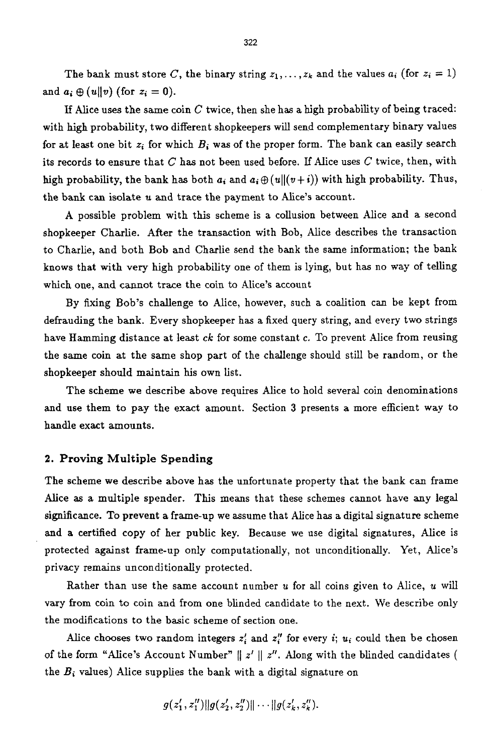and  $a_i \oplus (u||v)$  (for  $z_i = 0$ ). The bank must store C, the binary string  $z_1, \ldots, z_k$  and the values  $a_i$  (for  $z_i = 1$ )

If Alice uses the same coin *C* twice, then she has a high probability of being traced: with high probability, two different shopkeepers will send complementary binary values for at least one bit  $z_i$  for which  $B_i$  was of the proper form. The bank can easily search its records to ensure that *C* has not been used before. If Alice uses *C* twice, then, with high probability, the bank has both  $a_i$  and  $a_i \oplus (u||(v+i))$  with high probability. Thus, the bank can isolate u and trace the payment to Alice's account.

A possible problem with this scheme is a collusion between Alice and a second shopkeeper Charlie. After the transaction with Bob, Alice describes the transaction to Charlie, and both Bob and Charlie send the bank the same information; the bank knows that with very high probability one of them is lying, but has no way of telling which one, **and** cannot trace the coin to Alice's account

By fixing Bob's challenge to Alice, however, such a coalition can be kept from defrauding the bank. Every shopkeeper has a fixed query string, and every two strings have Hamming distance at least *ck* for some constant c. To prevent Alice from reusing the same coin at the same shop part of the challenge should still be random, or the shopkeeper should maintain his own list.

The scheme we describe above requires Alice to hold several coin denominations and use them to pay the exact amount. Section **3** presents **a** more efficient way to handle exact amounts.

## **2. Proving Multiple Spending**

The scheme we describe above has the unfortunate property that the bank can frame Alice **as** a multiple spender. This means that these schemes cannot have any legal significance. To prevent a frame-up we assume that Alice has a digital signature scheme and a certified copy of her public key. Because we use digital signatures, Alice is protected against frame-up only computationally, not unconditionally. Yet, Alice's privacy remains unconditionally protected.

Rather than use the same account number *u* for **all** coins given to Alice, u will vary **from** coin to coin and from one blinded candidate to the next, We describe only the modifications to the basic scheme of section one.

Alice chooses two random integers  $z_i'$  and  $z_i''$  for every *i*;  $u_i$  could then be chosen of the form "Alice's Account Number"  $|| z' || z''$ . Along with the blinded candidates ( the *Bi* values) Alice supplies the bank with a digital signature on

$$
g(z'_1, z''_1)\|g(z'_2, z''_2)\|\cdots\|g(z'_k, z''_k).
$$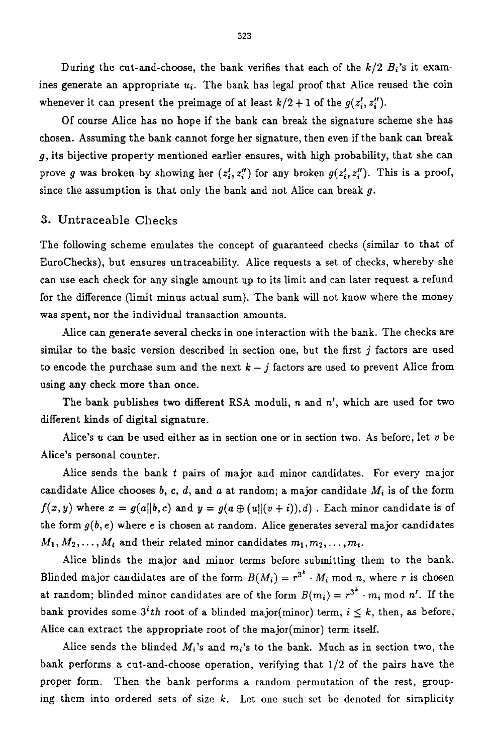During the cut-and-choose, the bank verifies that each of the  $k/2$   $B_i$ 's it examines generate an appropriate *uj.* The bank has legal proof that Alice reused the coin whenever it can present the preimage of at least  $k/2 + 1$  of the  $g(z'_i, z''_i)$ .

Of course Alice has no hope if the bank can break the signature scheme she has chosen. Assuming the bank cannot forge her signature, then even if the bank can break  $g$ , its bijective property mentioned earlier ensures, with high probability, that she can prove g was broken by showing her  $(z'_i, z''_i)$  for any broken  $g(z'_i, z''_i)$ . This is a proof, since the assumption is that only the bank and not Alice can break  $g$ .

## **3.** Untraceable **Checks**

The following scheme emulates the concept of guaranteed checks (similar to that of EuroChecks), but ensures untraceability. Alice requests a set of checks, whereby she can use each check for any single amount up to its limit and can later request a refund for the difference (limit minus actual sum). The bank will not know where the money **was** spent, nor the individual transaction amounts.

Alice can generate several checks in one interaction with the bank. The checks are similar to the basic version described in section one, but the first  $j$  factors are used to encode the purchase sum and the next  $k - j$  factors are used to prevent Alice from using any check more than once.

The bank publishes two different RSA moduli, *n* and *n',* which are used for two different kinds of digital signature.

Alice's *u* can be used either **as** in section one or in section two. **As** before, let *v* be Alice's personal counter.

Alice sends the bank *t* pairs of major and minor candidates. For every major candidate Alice chooses *b,* c, *d,* and *a* at random; a major candidate *Mi* is of the form  $f(x,y)$  where  $x = g(a||b, c)$  and  $y = g(a \oplus (u||(v + i)), d)$ . Each minor candidate is of the form *g(b,* e) where **e** is chosen at random. Alice generates several major candidates  $M_1, M_2, \ldots, M_t$  and their related minor candidates  $m_1, m_2, \ldots, m_t$ .

Alice blinds the major and minor terms before submitting them to the bank. Blinded major candidates are of the form  $B(M_i) = r^{3^k} \cdot M_i \text{ mod } n$ , where *r* is chosen at random; blinded minor candidates are of the form  $B(m_i) = r^{3^k} \cdot m_i \mod n'$ . If the bank provides some  $3<sup>i</sup>th$  root of a blinded major(minor) term,  $i \leq k$ , then, as before, Alice can extract the appropriate root of the major(minor) term itself.

Alice sends the blinded *Mi's* and *mi's* to the *bank.* Much **as** in section two, the bank performs a cut-and-choose operation, verifying that **112** of the pairs have the proper form. Then the bank performs a random permutation of the rest, grouping them into ordered sets of size *k.* Let one such set be denoted for simplicity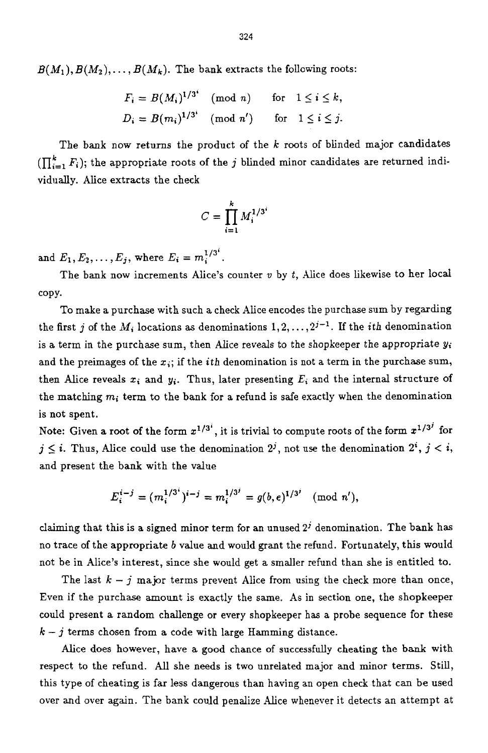$B(M_1), B(M_2), \ldots, B(M_k)$ . The bank extracts the following roots:

$$
F_i = B(M_i)^{1/3^i} \pmod{n} \quad \text{for} \quad 1 \le i \le k,
$$
  

$$
D_i = B(m_i)^{1/3^i} \pmod{n'}
$$
 for  $1 \le i \le j$ .

The bank now returns the product of the  $k$  roots of blinded major candidates  $(\prod_{i=1}^{k} F_i)$ ; the appropriate roots of the j blinded minor candidates are returned individually. Alice extracts the check

$$
C = \prod_{i=1}^k M_i^{1/3^i}
$$

and  $E_1, E_2, ..., E_j$ , where  $E_i = m_i^{1/3^i}$ .

The bank now increments Alice's counter v by *t,* Alice does likewise to her local copy.

To make a purchase with such a check Alice encodes the purchase sum by regarding the first *j* of the  $M_i$  locations as denominations  $1, 2, ..., 2^{j-1}$ . If the *i*th denomination is a term in the purchase sum, then Alice reveals to the shopkeeper the appropriate  $y_i$ and the preimages of the **2;;** if the *ith* denomination is not a term in the purchase sum, then Alice reveals  $x_i$  and  $y_i$ . Thus, later presenting  $E_i$  and the internal structure of the matching *mi* term to the bank for a refund is safe exactly when the denomination is not spent.

Note: Given a root of the form  $x^{1/3}$ , it is trivial to compute roots of the form  $x^{1/3}$  for  $j \leq i$ . Thus, Alice could use the denomination  $2^i$ , not use the denomination  $2^i$ ,  $j < i$ , and present the bank with the value

$$
E_i^{i-j} = (m_i^{1/3^i})^{i-j} = m_i^{1/3^j} = g(b, e)^{1/3^j} \pmod{n'},
$$

claiming that this is a signed minor term for an unused  $2<sup>j</sup>$  denomination. The bank has no trace of the appropriate *b* value and would grant the refund. Fortunately, this would not be in Alice's interest, since she would get a smaller refund than she is entitled to.

The last  $k - j$  major terms prevent Alice from using the check more than once, Even if the purchase amount is exactly the same. **As** in section one, the shopkeeper could present a random challenge or every shopkeeper has a probe sequence for these  $k - j$  terms chosen from a code with large Hamming distance.

Alice does however, have a good chance of successfully cheating the bank with respect to the refund. All she needs is two unrelated major and minor terms. Still, this type of cheating is far less dangerous than having an open check that can be used over and over **again.** The bank could penalize Alice whenever it detects an attempt at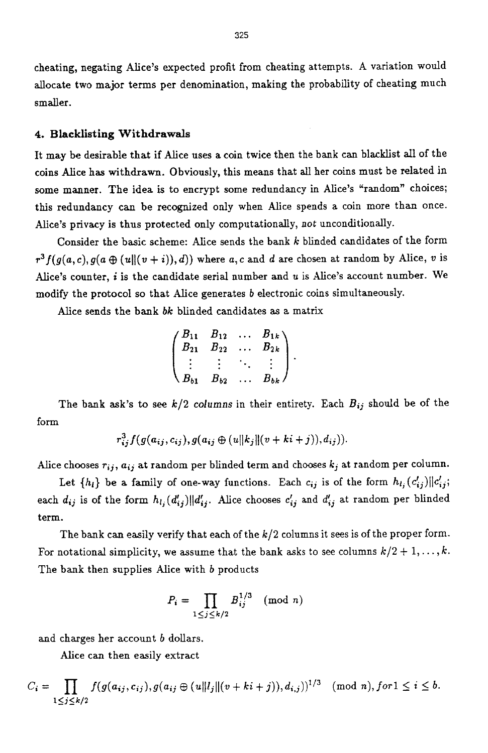cheating, negating AJice's expected profit from cheating attempts. **A** variation would allocate two major terms per denomination, making the probability of cheating much smaller.

#### **4. Blacklisting Withdrawals**

It may be desirable that if Alice uses a coin twice then the bank can blacklist **all** of the coins Alice has withdrawn. Obviously, this means that **all** her coins must be related in some manner. The idea is to encrypt some redundancy in Alice's "random" choices; this redundancy can be recognized only when Alice spends a coin more than once. Alice's privacy is thus protected only computationally, *not* unconditionally.

Consider the basic scheme: Alice sends the bank *k* blinded candidates of the form  $r^3 f(g(a, c), g(a \oplus (u \parallel (v + i)), d))$  where *a*, *c* and *d* are chosen at random by Alice, *v* is Alice's counter, *i* is the candidate serial number and *u* **is** Mice's account number. We modify the protocol so that Alice generates *b* electronic coins simultaneously.

Alice sends the **bank** *bk* blinded candidates **as** a matrix

$$
\begin{pmatrix} B_{11} & B_{12} & \dots & B_{1k} \\ B_{21} & B_{22} & \dots & B_{2k} \\ \vdots & \vdots & \ddots & \vdots \\ B_{b1} & B_{b2} & \dots & B_{bk} \end{pmatrix}.
$$

The bank ask's to *see k/2* columns in their entirety. Each *Bij* should be of the form

$$
r_{ij}^3 f(g(a_{ij}, c_{ij}), g(a_{ij} \oplus (u||k_j||(v+ki+j)), d_{ij}))
$$

Alice chooses *~jj, a;,* at random per blinded term and chooses *kj* at random per column.

Let  $\{h_i\}$  be a family of one-way functions. Each  $c_{ij}$  is of the form  $h_{i_j}(c'_{ij})||c'_{ij}$ ; each  $d_{ij}$  is of the form  $h_{lj}(d'_{ij})||d'_{ij}$ . Alice chooses  $c'_{ij}$  and  $d'_{ij}$  at random per blinded term.

The bank can easily verify that each of the *k/2* columns it *sees* is of the proper form. For notational simplicity, we assume that the bank asks to see columns  $k/2 + 1, \ldots, k$ . The bank then supplies Alice with *b* products

$$
P_i = \prod_{1 \le j \le k/2} B_{ij}^{1/3} \pmod{n}
$$

and charges her account *b* dollars.

Alice can then easily extract

$$
C_i = \prod_{1 \leq j \leq k/2} f(g(a_{ij}, c_{ij}), g(a_{ij} \oplus (u||l_j||(v+ki+j)), d_{i,j}))^{1/3} \pmod{n}, for 1 \leq i \leq b.
$$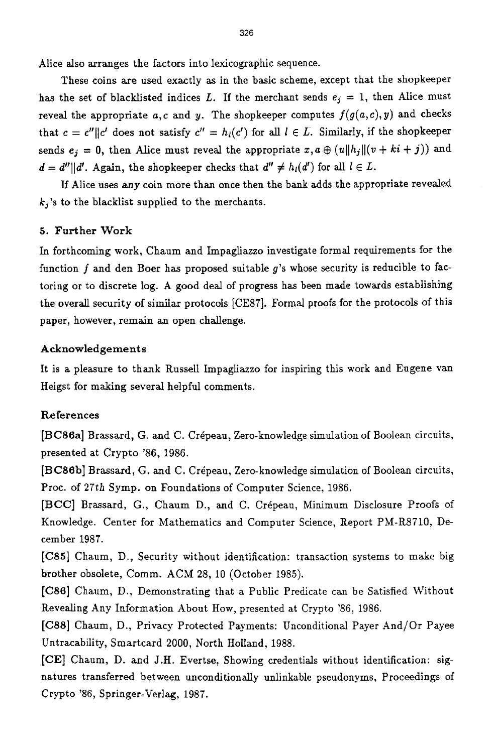Alice also arranges the factors into lexicographic sequence.

These coins are used exactly **as** in the basic scheme, except that the shopkeeper has the set of blacklisted indices *L*. If the merchant sends  $e_j = 1$ , then Alice must reveal the appropriate  $a, c$  and  $y$ . The shopkeeper computes  $f(g(a, c), y)$  and checks that  $c = c'' || c'$  does not satisfy  $c'' = h<sub>l</sub>(c')$  for all  $l \in L$ . Similarly, if the shopkeeper sends  $e_j = 0$ , then Alice must reveal the appropriate  $x, a \oplus (u||h_i||(v + ki + j))$  and  $d = d''||d'$ . Again, the shopkeeper checks that  $d'' \neq h_l(d')$  for all  $l \in L$ .

If Alice uses *any* coin more than once then the bank adds the appropriate revealed *kj's* to the blacklist supplied to the merchants.

# **5. Further Work**

In forthcoming work, Chaum and Impagliazzo investigate formal requirements for the function f and den Boer has proposed suitable **g's** whose security is reducible to factoring or to discrete **log. A** good deal of progress has been made towards establishing the overall security of similar protocols [CE87]. Formal proofs for the protocols of this paper, however, remain an open challenge.

#### **Acknowledgements**

It is a pleasure to thank Russell Impagliazzo for inspiring this work and Eugene van Heigst for making several helpful comments.

# **References**

**[BC86a]** Brassard, G. and C. Crgpeau, Zero-knowledge simulation of Boolean circuits, presented at Crypto '86, 1986.

**[BC86b]** Brassard, G. and C. Crépeau, Zero-knowledge simulation of Boolean circuits, Proc. of 27th Symp. on Foundations of Computer Science, 1986.

[BCC] Brassard, G., Chaum D., and C. Crépeau, Minimum Disclosure Proofs of Knowledge. Center for Mathematics and Computer Science, Report PM-RB710, December **1987.** 

**[CSS]** Chaum, D., Security without identification: transaction systems to make big brother obsolete, Comm. **ACM 28,** 10 (October **1985).** 

**[C86]** Chaum, D., Demonstrating that a Public Predicate can be Satisfied Without Revealing Any Information About How, presented at Crypto '86, 1986.

**[CW]** Chaum, D., Privacy Protected Payments: Unconditional Payer And/or Payee Untracability, Smartcard 2000, North Holland, 1988.

**[CE]** Chaum, D. and J.H. Evertse, Showing credentials without identification: signatures transferred between unconditionally unlinkable pseudonyms, Proceedings of Crypto '86, Springer-Verlag, 1987.